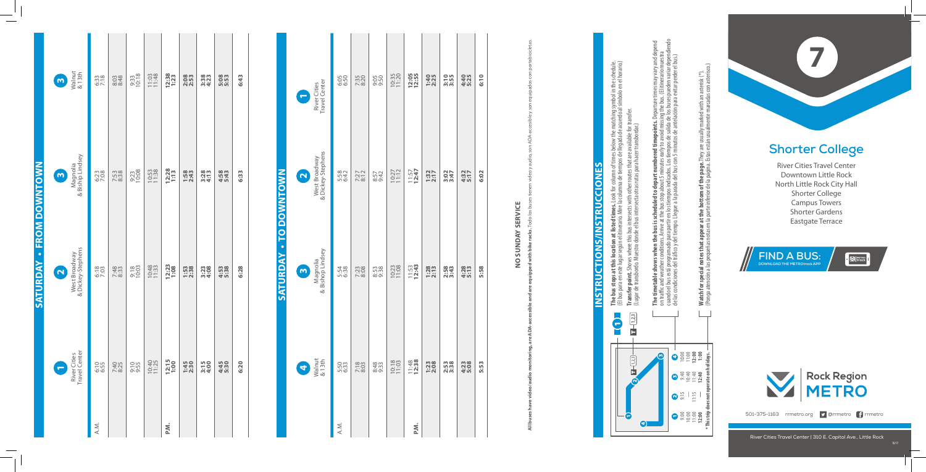## **Shorter College**

River Cities Travel Center Downtown Little Rock North Little Rock City Hall Shorter College Campus Towers Shorter Gardens<br>Eastgate Terrace



## NO SUNDAY SERVICE **NO SUNDAY SERVICE**

**All buses have video/audio monitoring, are ADA-accessible and are equipped with bike racks. Todo los buses tienen video y audio, son ADA-accesible y son equipados con portabicicletas.** racks. Todo bike F.





501-375-1163 rrmetro.org **D** @rrmetro frrmetro

| j                                                                                                              |  |
|----------------------------------------------------------------------------------------------------------------|--|
| l                                                                                                              |  |
|                                                                                                                |  |
| I<br>I                                                                                                         |  |
|                                                                                                                |  |
| ׇ֘֒                                                                                                            |  |
|                                                                                                                |  |
|                                                                                                                |  |
| I                                                                                                              |  |
| I                                                                                                              |  |
|                                                                                                                |  |
| ļ                                                                                                              |  |
| ĺ                                                                                                              |  |
| l                                                                                                              |  |
|                                                                                                                |  |
| I                                                                                                              |  |
|                                                                                                                |  |
|                                                                                                                |  |
| I                                                                                                              |  |
|                                                                                                                |  |
|                                                                                                                |  |
|                                                                                                                |  |
| I                                                                                                              |  |
|                                                                                                                |  |
| j                                                                                                              |  |
| ĺ                                                                                                              |  |
| j<br>I                                                                                                         |  |
|                                                                                                                |  |
| I                                                                                                              |  |
|                                                                                                                |  |
|                                                                                                                |  |
|                                                                                                                |  |
| and the state of the state of the state of the state of the state of the state of the state of the state of th |  |
|                                                                                                                |  |
| l                                                                                                              |  |
|                                                                                                                |  |
| I                                                                                                              |  |
|                                                                                                                |  |
| l<br>Ī<br>ׇ֘֒                                                                                                  |  |

rmbol in the schedule.<br>imbolo en el horario.) **The bus stops at this location at listed times.** Look for column of times below the matching symbol in the schedule. (El bus para en este lugar según el itinerario. Mire la columna de tiempos de llegada de acuerdo al símbolo en el horario.) **Transfer point.** Shows where this bus intersects with other routes that are available for transfer. matchir<br>acuerd The bus stops at this location at listed times. Look for column of times below the<br>(El bus para en este lugar según el itinerario. Mire la columna de tiempos de llegada de **1,2,3**

(Lugar de transbordo. Muestra donde el bus intersecta otras rutas para hacer transbordar.) **Transfer point.** Shows where this bus intersects with other routes that are available for interaction of the state of the state of the state of the state of the state of the state of the state of the state of the state of

|                                 | Walnut<br>& 13th<br>$\bullet$                  | 6:33 | 8:03<br>8:48 | 9:33<br>10:18 | 11:03          | 12:38<br>1:23        | 2:08             | 3:38         | 5:53             | 6:43 |  |
|---------------------------------|------------------------------------------------|------|--------------|---------------|----------------|----------------------|------------------|--------------|------------------|------|--|
|                                 | Magnolia<br>& Biship Lindsey<br>Ø              | 6:23 | 7:53<br>8:38 | 9:23<br>10:08 | 10:53<br>11:38 | 12:28                | 1:58<br>2:43     | 3:28<br>4:13 | 4:58<br>5:43     | 6:33 |  |
| <b>SATURDAY - FROM DOWNTOWN</b> | West Broadway<br>& Dickey-Stephens<br>$\Omega$ | 6:18 | 7:48         | 9:18          | 10:48          | <b>12:23</b><br>1:08 | $1:53$<br>$2:38$ | 3:28<br>4:08 | $4:53$<br>$5:38$ | 6:28 |  |
|                                 | Travel Center<br>River Cities<br>E             | 6:55 | 7:40<br>8:25 | 9:10          | 10:40<br>11:25 | 12:15<br>1:00        | 1:45<br>2:30     | 3:15<br>4:00 | 4:45<br>5:30     | 6:20 |  |
|                                 |                                                | A.M. |              |               |                | P.M.                 |                  |              |                  |      |  |

cuando el bus está programado para partir en los tiempos indicados. Los tiempos de salida de los buses pueden variar dependiendo **The timetable shows when the bus is scheduled to depart numbered timepoints.** Departure times may vary and depend on traffic and weather conditions. Arrive at the bus stop about 5 minutes early to avoid missing the bus. (El itinerario muestra riar depen<br>er el bus.) de las condiciones del tráco y del tiempo. Llegue a la parada del bus con 5 minutos de antelación para evitar perder el bus.) n on<br>Kien puede<br>evitar | ure times i<br>bus. (El iti 효증  $\frac{1}{\text{lead}}$ ∙≣<br>∽ **me**<br>utes<br>Losi **le shows when the bus is scheduled to depart nur**<br>weather conditions. Arrive at the bus stop about 5 minu<br>está programado para partir en los tiempos indicados.<br>ones del tráfico y del tiempo. Llegue a la parada del bus **The timetable**<br>on traffic and w<br>cuando el bus e<br>de las condicion

| River Cities<br>Travel Center<br>C       | 6:50         | 7:35<br>8:20 | 9:05             | 10:35 | 12:05            | 1:40             | 3:55         | 4:40         | 6:10 |  |
|------------------------------------------|--------------|--------------|------------------|-------|------------------|------------------|--------------|--------------|------|--|
| West Broadway<br>& Dickey-Stephens<br>N  | 5:58<br>6:42 | 7:27         | 8:57<br>9:42     | 10:27 | $11:57$<br>12:47 | $1:37$<br>2:17   | 3:47         | 4:32<br>5:17 | 6:02 |  |
| Magnolia<br>& Bishop Lindsey<br>$\omega$ | 5:54<br>6:38 | 7:23         | $8:53$<br>$9:38$ | 10:23 | $11:53$<br>12:43 | $1:28$<br>$2:13$ | 2:58<br>3:43 | 4:28<br>5:13 | 5:58 |  |
| Walnut<br>& 13th<br>4                    | 5:50<br>6:33 | 7:18         | 8:48<br>9:33     | 10:18 | $11:48$<br>12:38 | 1:23<br>2:08     | 2:58<br>3:38 | 4:23<br>5:08 | 5:53 |  |
|                                          | A.M.         |              |                  |       | P.M.             |                  |              |              |      |  |

**Watch for special notes that appear at the bottom of the page.** They are usually marked with an asterisk (\*).<br>(Ponga atención a las pequeñas notas en la parte inferior de la página. Estas están usualmente marcadas con ast (Ponga atención a las pequeñas notas en la parte inferior de la página. Estas están usualmente marcadas con asterisco.) **Watch for special notes that appear at the bottom of the page.** They are usually marked with an asterisk (\*).

## **INSTRUCTIONS/INSTRUCCIONES INSTRUCTIONS/INSTRUCCION** - 1

 $\sim$ 

3 4

m,

4

1 9:00 10:00 11:00 **12:00**

 $2515$ 

9:40 10:40 11:40 **12:40**

**\* This trip does not operate on holidays.**

이 이 이 이 이<br>이 그 **이 이**<br>이 그 <mark>그 그</mark>

**1,2,3**

 $\subset$ 

10/1